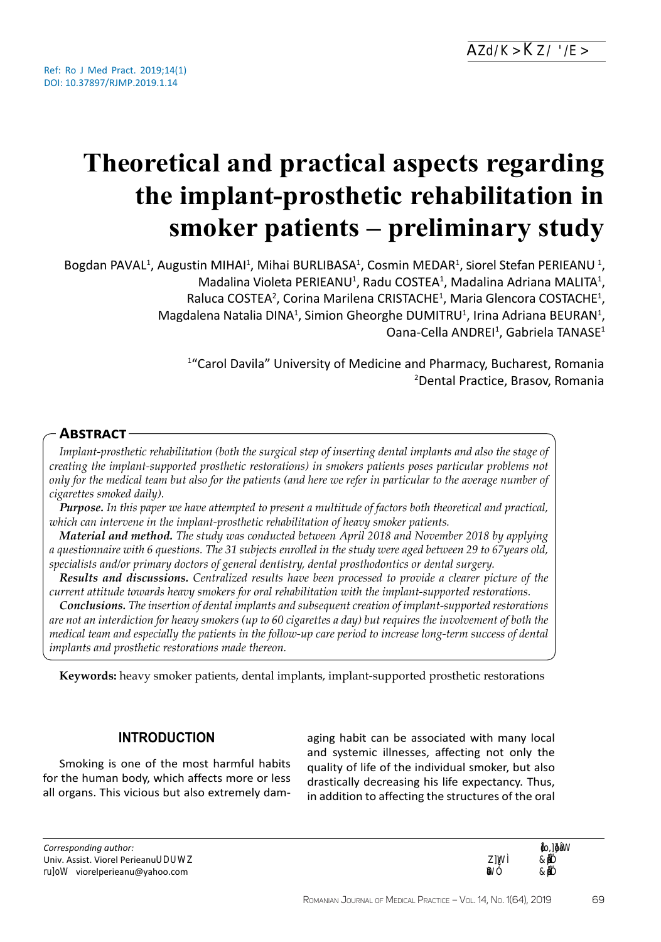# **Theoretical and practical aspects regarding the implant-prosthetic rehabilitation in smoker patients – preliminary study**

Bogdan PAVAL<sup>1</sup>, Augustin MIHAI<sup>1</sup>, Mihai BURLIBASA<sup>1</sup>, Cosmin MEDAR<sup>1</sup>, Viorel Stefan PERIEANU<sup>1</sup>, Madalina Violeta PERIEANU<sup>1</sup>, Radu COSTEA<sup>1</sup>, Madalina Adriana MALITA<sup>1</sup>, Raluca COSTEA<sup>2</sup>, Corina Marilena CRISTACHE<sup>1</sup>, Maria Glencora COSTACHE<sup>1</sup>, Magdalena Natalia DINA<sup>1</sup>, Simion Gheorghe DUMITRU<sup>1</sup>, Irina Adriana BEURAN<sup>1</sup>, Oana-Cella ANDREI<sup>1</sup>, Gabriela TANASE<sup>1</sup>

> <sup>1</sup>"Carol Davila" University of Medicine and Pharmacy, Bucharest, Romania 2 Dental Practice, Brasov, Romania

## **Abstract**

*Implant-prosthetic rehabilitation (both the surgical step of inserting dental implants and also the stage of creating the implant-supported prosthetic restorations) in smokers patients poses particular problems not only for the medical team but also for the patients (and here we refer in particular to the average number of cigarettes smoked daily).* 

*Purpose. In this paper we have attempted to present a multitude of factors both theoretical and practical, which can intervene in the implant-prosthetic rehabilitation of heavy smoker patients.*

*Material and method. The study was conducted between April 2018 and November 2018 by applying a questionnaire with 6 questions. The 31 subjects enrolled in the study were aged between 29 to 67years old, specialists and/or primary doctors of general dentistry, dental prosthodontics or dental surgery.*

*Results and discussions. Centralized results have been processed to provide a clearer picture of the current attitude towards heavy smokers for oral rehabilitation with the implant-supported restorations.*

*Conclusions. The insertion of dental implants and subsequent creation of implant-supported restorations are not an interdiction for heavy smokers (up to 60 cigarettes a day) but requires the involvement of both the medical team and especially the patients in the follow-up care period to increase long-term success of dental implants and prosthetic restorations made thereon.*

**Keywords:** heavy smoker patients, dental implants, implant-supported prosthetic restorations

## **INTRODUCTION**

Smoking is one of the most harmful habits for the human body, which affects more or less all organs. This vicious but also extremely dam-

aging habit can be associated with many local and systemic illnesses, affecting not only the quality of life of the individual smoker, but also drastically decreasing his life expectancy. Thus, in addition to affecting the structures of the oral

Article History: Received: 12 &ĞďƌƵĂƌLJ 2Ϭϭϵ A
267

69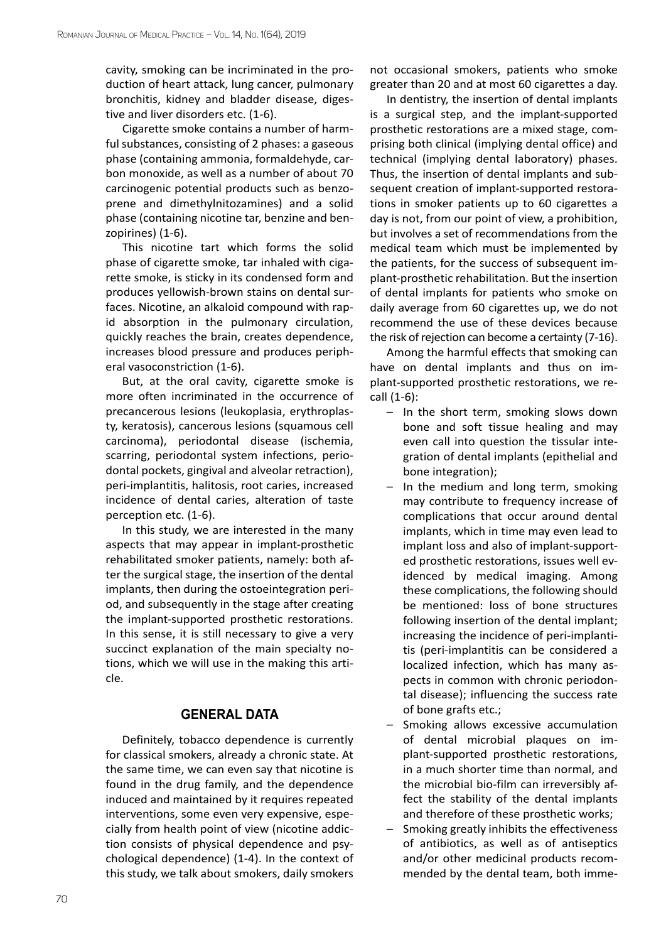cavity, smoking can be incriminated in the production of heart attack, lung cancer, pulmonary bronchitis, kidney and bladder disease, digestive and liver disorders etc. (1-6).

Cigarette smoke contains a number of harmful substances, consisting of 2 phases: a gaseous phase (containing ammonia, formaldehyde, carbon monoxide, as well as a number of about 70 carcinogenic potential products such as benzoprene and dimethylnitozamines) and a solid phase (containing nicotine tar, benzine and benzopirines) (1-6).

This nicotine tart which forms the solid phase of cigarette smoke, tar inhaled with cigarette smoke, is sticky in its condensed form and produces yellowish-brown stains on dental surfaces. Nicotine, an alkaloid compound with rapid absorption in the pulmonary circulation, quickly reaches the brain, creates dependence, increases blood pressure and produces peripheral vasoconstriction (1-6).

But, at the oral cavity, cigarette smoke is more often incriminated in the occurrence of precancerous lesions (leukoplasia, erythroplasty, keratosis), cancerous lesions (squamous cell carcinoma), periodontal disease (ischemia, scarring, periodontal system infections, periodontal pockets, gingival and alveolar retraction), peri-implantitis, halitosis, root caries, increased incidence of dental caries, alteration of taste perception etc. (1-6).

In this study, we are interested in the many aspects that may appear in implant-prosthetic rehabilitated smoker patients, namely: both after the surgical stage, the insertion of the dental implants, then during the ostoeintegration period, and subsequently in the stage after creating the implant-supported prosthetic restorations. In this sense, it is still necessary to give a very succinct explanation of the main specialty notions, which we will use in the making this article.

## **GENERAL DATA**

Definitely, tobacco dependence is currently for classical smokers, already a chronic state. At the same time, we can even say that nicotine is found in the drug family, and the dependence induced and maintained by it requires repeated interventions, some even very expensive, especially from health point of view (nicotine addiction consists of physical dependence and psychological dependence) (1-4). In the context of this study, we talk about smokers, daily smokers

not occasional smokers, patients who smoke greater than 20 and at most 60 cigarettes a day.

In dentistry, the insertion of dental implants is a surgical step, and the implant-supported prosthetic restorations are a mixed stage, comprising both clinical (implying dental office) and technical (implying dental laboratory) phases. Thus, the insertion of dental implants and subsequent creation of implant-supported restorations in smoker patients up to 60 cigarettes a day is not, from our point of view, a prohibition, but involves a set of recommendations from the medical team which must be implemented by the patients, for the success of subsequent implant-prosthetic rehabilitation. But the insertion of dental implants for patients who smoke on daily average from 60 cigarettes up, we do not recommend the use of these devices because the risk of rejection can become a certainty (7-16).

Among the harmful effects that smoking can have on dental implants and thus on implant-supported prosthetic restorations, we recall (1-6):

- In the short term, smoking slows down bone and soft tissue healing and may even call into question the tissular integration of dental implants (epithelial and bone integration);
- In the medium and long term, smoking may contribute to frequency increase of complications that occur around dental implants, which in time may even lead to implant loss and also of implant-supported prosthetic restorations, issues well evidenced by medical imaging. Among these complications, the following should be mentioned: loss of bone structures following insertion of the dental implant; increasing the incidence of peri-implantitis (peri-implantitis can be considered a localized infection, which has many aspects in common with chronic periodontal disease); influencing the success rate of bone grafts etc.;
- Smoking allows excessive accumulation of dental microbial plaques on implant-supported prosthetic restorations, in a much shorter time than normal, and the microbial bio-film can irreversibly affect the stability of the dental implants and therefore of these prosthetic works;
- Smoking greatly inhibits the effectiveness of antibiotics, as well as of antiseptics and/or other medicinal products recommended by the dental team, both imme-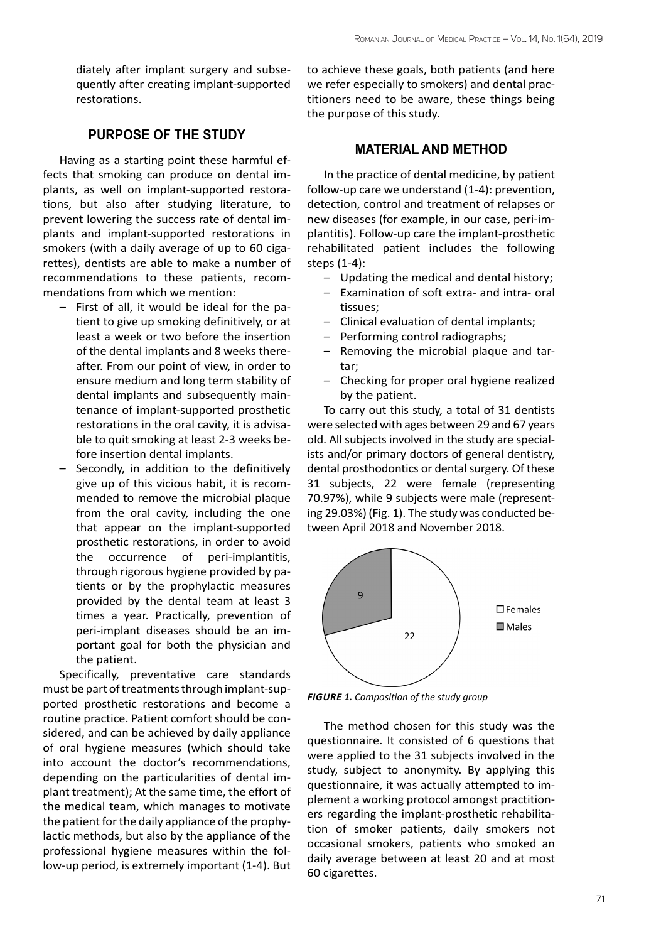diately after implant surgery and subsequently after creating implant-supported restorations.

## **PURPOSE OF THE STUDY**

Having as a starting point these harmful effects that smoking can produce on dental implants, as well on implant-supported restorations, but also after studying literature, to prevent lowering the success rate of dental implants and implant-supported restorations in smokers (with a daily average of up to 60 cigarettes), dentists are able to make a number of recommendations to these patients, recommendations from which we mention:

- First of all, it would be ideal for the patient to give up smoking definitively, or at least a week or two before the insertion of the dental implants and 8 weeks thereafter. From our point of view, in order to ensure medium and long term stability of dental implants and subsequently maintenance of implant-supported prosthetic restorations in the oral cavity, it is advisable to quit smoking at least 2-3 weeks before insertion dental implants.
- Secondly, in addition to the definitively give up of this vicious habit, it is recommended to remove the microbial plaque from the oral cavity, including the one that appear on the implant-supported prosthetic restorations, in order to avoid the occurrence of peri-implantitis, through rigorous hygiene provided by patients or by the prophylactic measures provided by the dental team at least 3 times a year. Practically, prevention of peri-implant diseases should be an important goal for both the physician and the patient.

Specifically, preventative care standards must be part of treatments through implant-supported prosthetic restorations and become a routine practice. Patient comfort should be considered, and can be achieved by daily appliance of oral hygiene measures (which should take into account the doctor's recommendations, depending on the particularities of dental implant treatment); At the same time, the effort of the medical team, which manages to motivate the patient for the daily appliance of the prophylactic methods, but also by the appliance of the professional hygiene measures within the follow-up period, is extremely important (1-4). But

to achieve these goals, both patients (and here we refer especially to smokers) and dental practitioners need to be aware, these things being the purpose of this study.

## **MATERIAL AND METHOD**

In the practice of dental medicine, by patient follow-up care we understand (1-4): prevention, detection, control and treatment of relapses or new diseases (for example, in our case, peri-implantitis). Follow-up care the implant-prosthetic rehabilitated patient includes the following steps (1-4):

- Updating the medical and dental history;
- Examination of soft extra- and intra- oral tissues;
- Clinical evaluation of dental implants;
- Performing control radiographs;
- Removing the microbial plaque and tartar;
- Checking for proper oral hygiene realized by the patient.

To carry out this study, a total of 31 dentists were selected with ages between 29 and 67 years old. All subjects involved in the study are specialists and/or primary doctors of general dentistry, dental prosthodontics or dental surgery. Of these 31 subjects, 22 were female (representing 70.97%), while 9 subjects were male (representing 29.03%) (Fig. 1). The study was conducted between April 2018 and November 2018.



*FIGURE 1. Composition of the study group*

The method chosen for this study was the questionnaire. It consisted of 6 questions that were applied to the 31 subjects involved in the study, subject to anonymity. By applying this questionnaire, it was actually attempted to implement a working protocol amongst practitioners regarding the implant-prosthetic rehabilitation of smoker patients, daily smokers not occasional smokers, patients who smoked an daily average between at least 20 and at most 60 cigarettes.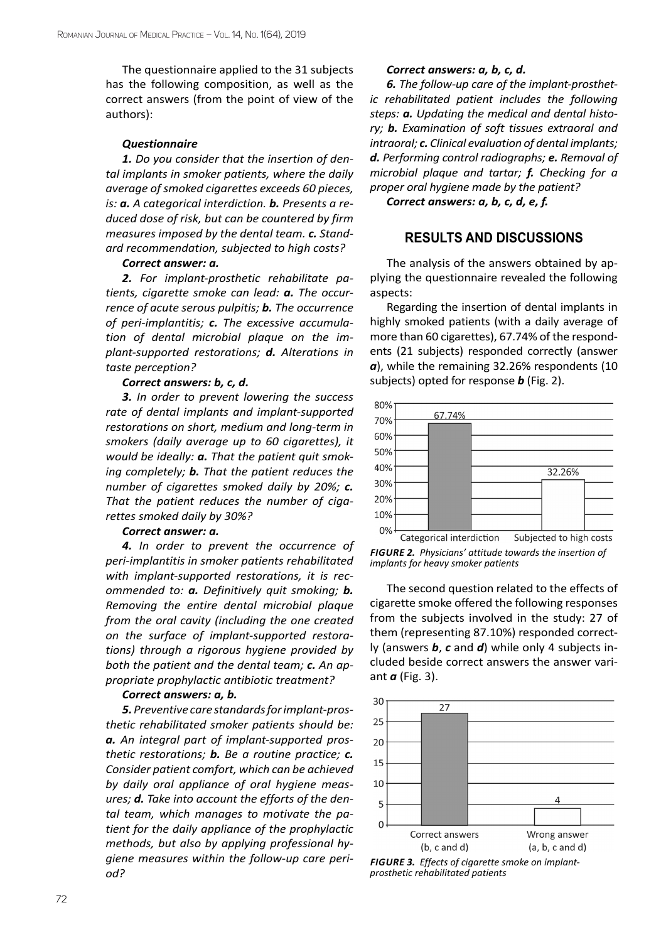The questionnaire applied to the 31 subjects has the following composition, as well as the correct answers (from the point of view of the authors):

#### *Questionnaire*

*1. Do you consider that the insertion of dental implants in smoker patients, where the daily average of smoked cigarettes exceeds 60 pieces, is: a. A categorical interdiction. b. Presents a reduced dose of risk, but can be countered by firm measures imposed by the dental team. c. Standard recommendation, subjected to high costs?*

#### *Correct answer: a.*

*2. For implant-prosthetic rehabilitate patients, cigarette smoke can lead: a. The occurrence of acute serous pulpitis; b. The occurrence of peri-implantitis; c. The excessive accumulation of dental microbial plaque on the implant-supported restorations; d. Alterations in taste perception?*

#### *Correct answers: b, c, d.*

*3. In order to prevent lowering the success rate of dental implants and implant-supported restorations on short, medium and long-term in smokers (daily average up to 60 cigarettes), it would be ideally: a. That the patient quit smoking completely; b. That the patient reduces the number of cigarettes smoked daily by 20%; c. That the patient reduces the number of cigarettes smoked daily by 30%?*

#### *Correct answer: a.*

*4. In order to prevent the occurrence of peri-implantitis in smoker patients rehabilitated with implant-supported restorations, it is recommended to: a. Definitively quit smoking; b. Removing the entire dental microbial plaque from the oral cavity (including the one created on the surface of implant-supported restorations) through a rigorous hygiene provided by both the patient and the dental team; c. An appropriate prophylactic antibiotic treatment?*

#### *Correct answers: a, b.*

*5. Preventive care standards for implant-prosthetic rehabilitated smoker patients should be: a. An integral part of implant-supported prosthetic restorations; b. Be a routine practice; c. Consider patient comfort, which can be achieved by daily oral appliance of oral hygiene measures; d. Take into account the efforts of the dental team, which manages to motivate the patient for the daily appliance of the prophylactic methods, but also by applying professional hygiene measures within the follow-up care period?*

#### *Correct answers: a, b, c, d.*

*6. The follow-up care of the implant-prosthetic rehabilitated patient includes the following steps: a. Updating the medical and dental history; b. Examination of soft tissues extraoral and intraoral; c. Clinical evaluation of dental implants; d. Performing control radiographs; e. Removal of microbial plaque and tartar; f. Checking for a proper oral hygiene made by the patient?*

#### *Correct answers: a, b, c, d, e, f.*

### **RESULTS AND DISCUSSIONS**

The analysis of the answers obtained by applying the questionnaire revealed the following aspects:

Regarding the insertion of dental implants in highly smoked patients (with a daily average of more than 60 cigarettes), 67.74% of the respondents (21 subjects) responded correctly (answer *a*), while the remaining 32.26% respondents (10 subjects) opted for response *b* (Fig. 2).



*FIGURE 2. Physicians' attitude towards the insertion of implants for heavy smoker patients*

The second question related to the effects of cigarette smoke offered the following responses from the subjects involved in the study: 27 of them (representing 87.10%) responded correctly (answers *b*, *c* and *d*) while only 4 subjects included beside correct answers the answer variant *a* (Fig. 3).



*FIGURE 3. Effects of cigarette smoke on implantprosthetic rehabilitated patients*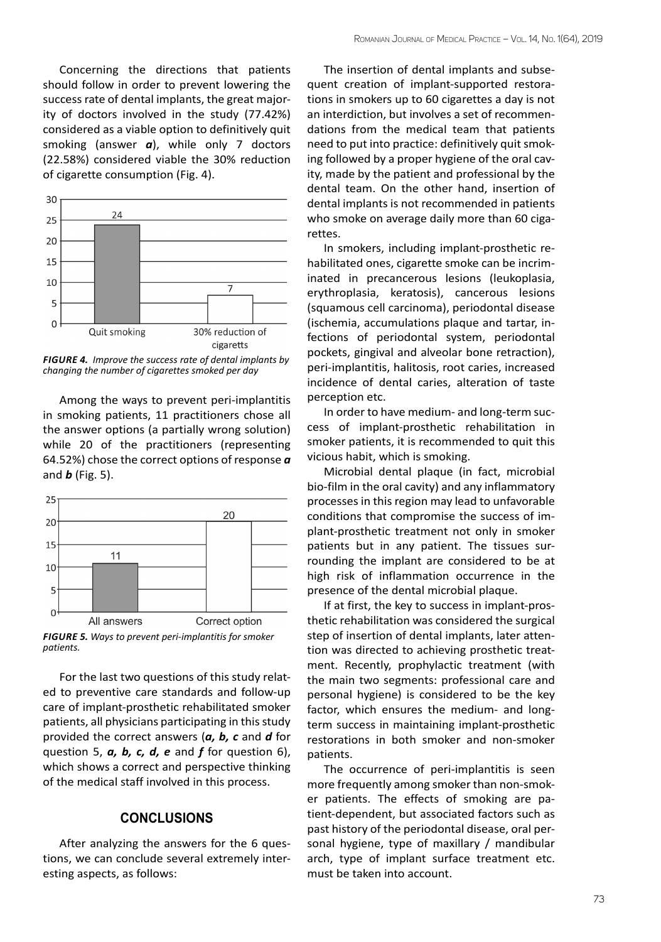Concerning the directions that patients should follow in order to prevent lowering the success rate of dental implants, the great majority of doctors involved in the study (77.42%) considered as a viable option to definitively quit smoking (answer *a*), while only 7 doctors (22.58%) considered viable the 30% reduction of cigarette consumption (Fig. 4).



*FIGURE 4. Improve the success rate of dental implants by changing the number of cigarettes smoked per day*

Among the ways to prevent peri-implantitis in smoking patients, 11 practitioners chose all the answer options (a partially wrong solution) while 20 of the practitioners (representing 64.52%) chose the correct options of response *a* and *b* (Fig. 5).



*FIGURE 5. Ways to prevent peri-implantitis for smoker patients.*

For the last two questions of this study related to preventive care standards and follow-up care of implant-prosthetic rehabilitated smoker patients, all physicians participating in this study provided the correct answers (*a, b, c* and *d* for question 5, *a, b, c, d, e* and *f* for question 6), which shows a correct and perspective thinking of the medical staff involved in this process.

#### **CONCLUSIONS**

After analyzing the answers for the 6 questions, we can conclude several extremely interesting aspects, as follows:

The insertion of dental implants and subsequent creation of implant-supported restorations in smokers up to 60 cigarettes a day is not an interdiction, but involves a set of recommendations from the medical team that patients need to put into practice: definitively quit smoking followed by a proper hygiene of the oral cavity, made by the patient and professional by the dental team. On the other hand, insertion of dental implants is not recommended in patients who smoke on average daily more than 60 cigarettes.

In smokers, including implant-prosthetic rehabilitated ones, cigarette smoke can be incriminated in precancerous lesions (leukoplasia, erythroplasia, keratosis), cancerous lesions (squamous cell carcinoma), periodontal disease (ischemia, accumulations plaque and tartar, infections of periodontal system, periodontal pockets, gingival and alveolar bone retraction), peri-implantitis, halitosis, root caries, increased incidence of dental caries, alteration of taste perception etc.

In order to have medium- and long-term success of implant-prosthetic rehabilitation in smoker patients, it is recommended to quit this vicious habit, which is smoking.

Microbial dental plaque (in fact, microbial bio-film in the oral cavity) and any inflammatory processes in this region may lead to unfavorable conditions that compromise the success of implant-prosthetic treatment not only in smoker patients but in any patient. The tissues surrounding the implant are considered to be at high risk of inflammation occurrence in the presence of the dental microbial plaque.

If at first, the key to success in implant-prosthetic rehabilitation was considered the surgical step of insertion of dental implants, later attention was directed to achieving prosthetic treatment. Recently, prophylactic treatment (with the main two segments: professional care and personal hygiene) is considered to be the key factor, which ensures the medium- and longterm success in maintaining implant-prosthetic restorations in both smoker and non-smoker patients.

The occurrence of peri-implantitis is seen more frequently among smoker than non-smoker patients. The effects of smoking are patient-dependent, but associated factors such as past history of the periodontal disease, oral personal hygiene, type of maxillary / mandibular arch, type of implant surface treatment etc. must be taken into account.